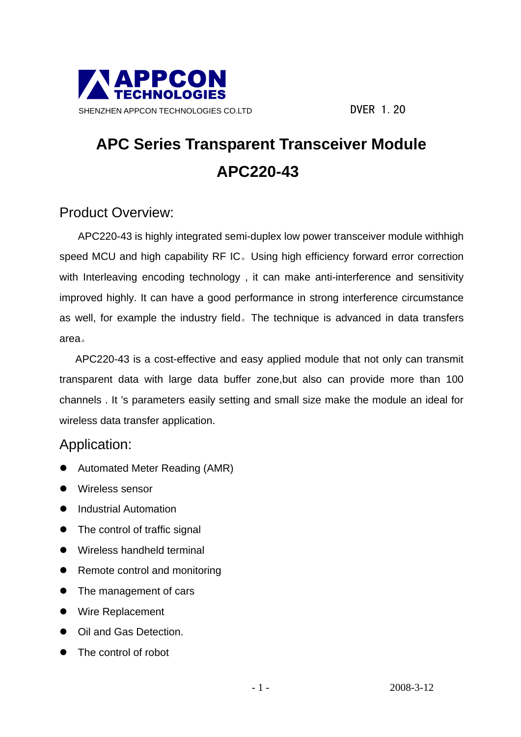

### **APC Series Transparent Transceiver Module APC220-43**

#### Product Overview:

APC220-43 is highly integrated semi-duplex low power transceiver module withhigh speed MCU and high capability RF IC。Using high efficiency forward error correction with Interleaving encoding technology, it can make anti-interference and sensitivity improved highly. It can have a good performance in strong interference circumstance as well, for example the industry field。The technique is advanced in data transfers area。

 APC220-43 is a cost-effective and easy applied module that not only can transmit transparent data with large data buffer zone,but also can provide more than 100 channels . It 's parameters easily setting and small size make the module an ideal for wireless data transfer application.

#### Application:

- Automated Meter Reading (AMR)
- Wireless sensor
- Industrial Automation
- The control of traffic signal
- Wireless handheld terminal
- Remote control and monitoring
- The management of cars
- Wire Replacement
- Oil and Gas Detection.
- The control of robot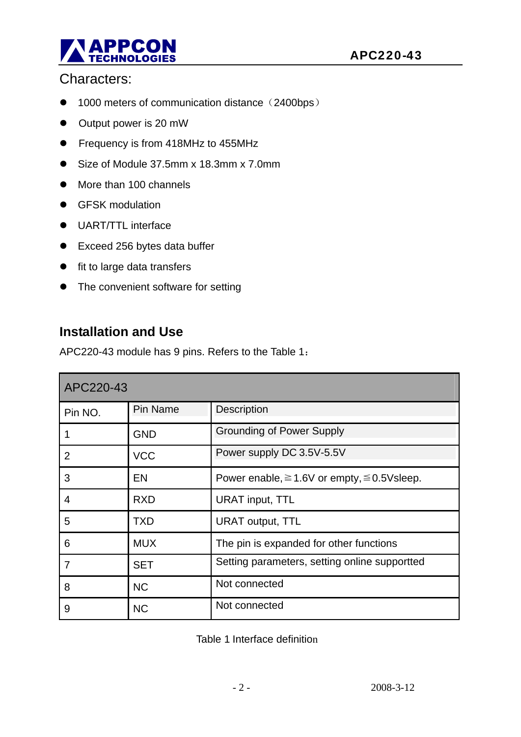

#### Characters:

- 1000 meters of communication distance (2400bps)
- Output power is 20 mW
- Frequency is from 418MHz to 455MHz
- Size of Module 37.5mm x 18.3mm x 7.0mm
- More than 100 channels
- **•** GFSK modulation
- UART/TTL interface
- Exceed 256 bytes data buffer
- **•** fit to large data transfers
- The convenient software for setting

#### **Installation and Use**

APC220-43 module has 9 pins. Refers to the Table 1:

| APC220-43      |            |                                                        |  |  |
|----------------|------------|--------------------------------------------------------|--|--|
| Pin NO.        | Pin Name   | <b>Description</b>                                     |  |  |
|                | <b>GND</b> | <b>Grounding of Power Supply</b>                       |  |  |
| $\overline{2}$ | <b>VCC</b> | Power supply DC 3.5V-5.5V                              |  |  |
| 3              | <b>EN</b>  | Power enable, $\geq 1.6V$ or empty, $\leq 0.5V$ sleep. |  |  |
| 4              | <b>RXD</b> | <b>URAT input, TTL</b>                                 |  |  |
| 5              | <b>TXD</b> | <b>URAT output, TTL</b>                                |  |  |
| 6              | <b>MUX</b> | The pin is expanded for other functions                |  |  |
| $\overline{7}$ | <b>SET</b> | Setting parameters, setting online supportted          |  |  |
| 8              | <b>NC</b>  | Not connected                                          |  |  |
| 9              | <b>NC</b>  | Not connected                                          |  |  |

Table 1 Interface definition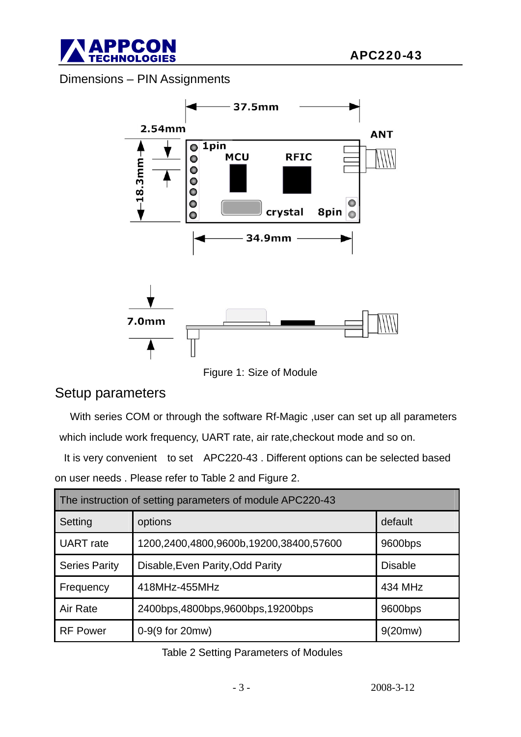

Dimensions – PIN Assignments



Figure 1: Size of Module

#### Setup parameters

With series COM or through the software Rf-Magic , user can set up all parameters which include work frequency, UART rate, air rate,checkout mode and so on.

It is very convenient to set APC220-43 . Different options can be selected based on user needs . Please refer to Table 2 and Figure 2.

| The instruction of setting parameters of module APC220-43 |                                        |                |  |  |
|-----------------------------------------------------------|----------------------------------------|----------------|--|--|
| Setting                                                   | options                                | default        |  |  |
| <b>UART</b> rate                                          | 1200,2400,4800,9600b,19200,38400,57600 | 9600bps        |  |  |
| <b>Series Parity</b>                                      | Disable, Even Parity, Odd Parity       | <b>Disable</b> |  |  |
| Frequency                                                 | 418MHz-455MHz                          | 434 MHz        |  |  |
| Air Rate                                                  | 2400bps, 4800bps, 9600bps, 19200bps    | 9600bps        |  |  |
| <b>RF Power</b>                                           | 0-9(9 for 20mw)                        | 9(20mw)        |  |  |

Table 2 Setting Parameters of Modules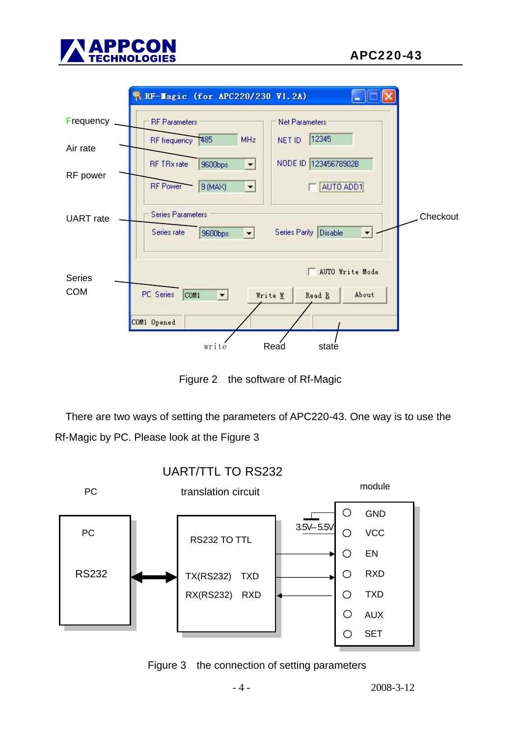



Figure 2 the software of Rf-Magic

There are two ways of setting the parameters of APC220-43. One way is to use the Rf-Magic by PC. Please look at the Figure 3



Figure 3 the connection of setting parameters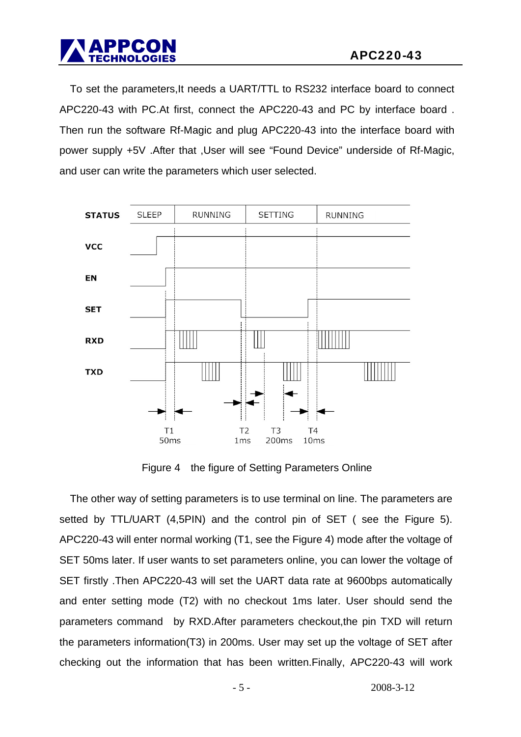To set the parameters,It needs a UART/TTL to RS232 interface board to connect APC220-43 with PC.At first, connect the APC220-43 and PC by interface board . Then run the software Rf-Magic and plug APC220-43 into the interface board with power supply +5V .After that ,User will see "Found Device" underside of Rf-Magic, and user can write the parameters which user selected.



Figure 4 the figure of Setting Parameters Online

The other way of setting parameters is to use terminal on line. The parameters are setted by TTL/UART (4,5PIN) and the control pin of SET ( see the Figure 5). APC220-43 will enter normal working (T1, see the Figure 4) mode after the voltage of SET 50ms later. If user wants to set parameters online, you can lower the voltage of SET firstly .Then APC220-43 will set the UART data rate at 9600bps automatically and enter setting mode (T2) with no checkout 1ms later. User should send the parameters command by RXD.After parameters checkout,the pin TXD will return the parameters information(T3) in 200ms. User may set up the voltage of SET after checking out the information that has been written.Finally, APC220-43 will work

 $-5 - 2008 - 3 - 12$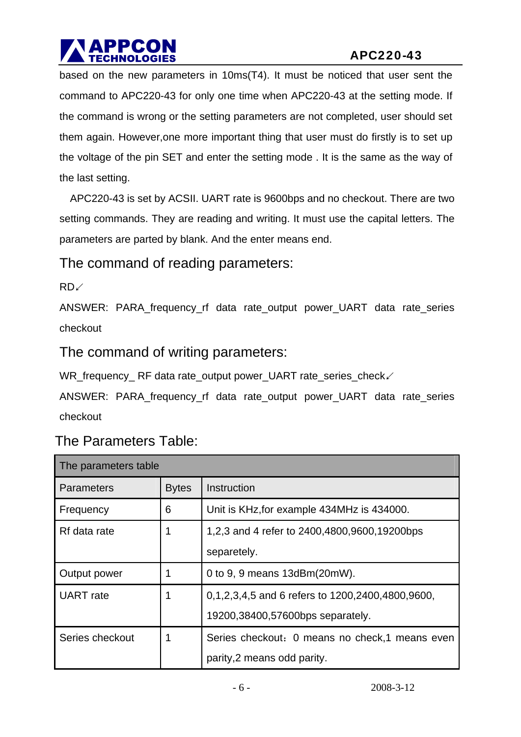# Ī

based on the new parameters in 10ms(T4). It must be noticed that user sent the command to APC220-43 for only one time when APC220-43 at the setting mode. If the command is wrong or the setting parameters are not completed, user should set them again. However,one more important thing that user must do firstly is to set up the voltage of the pin SET and enter the setting mode . It is the same as the way of the last setting.

APC220-43 is set by ACSII. UART rate is 9600bps and no checkout. There are two setting commands. They are reading and writing. It must use the capital letters. The parameters are parted by blank. And the enter means end.

The command of reading parameters:

RD↙

ANSWER: PARA\_frequency\_rf data rate\_output power\_UART data rate\_series checkout

The command of writing parameters:

WR\_frequency\_ RF data rate\_output power\_UART rate\_series\_check∠

ANSWER: PARA\_frequency\_rf data rate\_output power\_UART data rate\_series checkout

| The parameters table |              |                                                  |  |  |
|----------------------|--------------|--------------------------------------------------|--|--|
| <b>Parameters</b>    | <b>Bytes</b> | Instruction                                      |  |  |
| Frequency            | 6            | Unit is KHz, for example 434MHz is 434000.       |  |  |
| Rf data rate         | 1            | 1,2,3 and 4 refer to 2400,4800,9600,19200bps     |  |  |
|                      |              | separetely.                                      |  |  |
| Output power         |              | 0 to 9, 9 means 13dBm(20mW).                     |  |  |
| <b>UART</b> rate     |              | 0,1,2,3,4,5 and 6 refers to 1200,2400,4800,9600, |  |  |
|                      |              | 19200,38400,57600bps separately.                 |  |  |
| Series checkout      |              | Series checkout: 0 means no check,1 means even   |  |  |
|                      |              | parity, 2 means odd parity.                      |  |  |

The Parameters Table: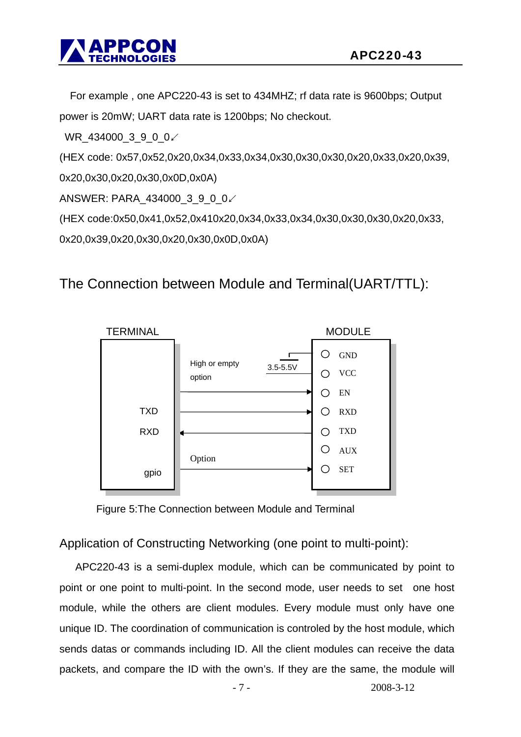

For example , one APC220-43 is set to 434MHZ; rf data rate is 9600bps; Output power is 20mW; UART data rate is 1200bps; No checkout.

WR\_434000\_3\_9\_0\_0∠

(HEX code: 0x57,0x52,0x20,0x34,0x33,0x34,0x30,0x30,0x30,0x20,0x33,0x20,0x39,

0x20,0x30,0x20,0x30,0x0D,0x0A)

ANSWER: PARA\_434000\_3\_9\_0\_0∠

(HEX code:0x50,0x41,0x52,0x410x20,0x34,0x33,0x34,0x30,0x30,0x30,0x20,0x33,

0x20,0x39,0x20,0x30,0x20,0x30,0x0D,0x0A)

#### The Connection between Module and Terminal(UART/TTL):



Figure 5:The Connection between Module and Terminal

#### Application of Constructing Networking (one point to multi-point):

APC220-43 is a semi-duplex module, which can be communicated by point to point or one point to multi-point. In the second mode, user needs to set one host module, while the others are client modules. Every module must only have one unique ID. The coordination of communication is controled by the host module, which sends datas or commands including ID. All the client modules can receive the data packets, and compare the ID with the own's. If they are the same, the module will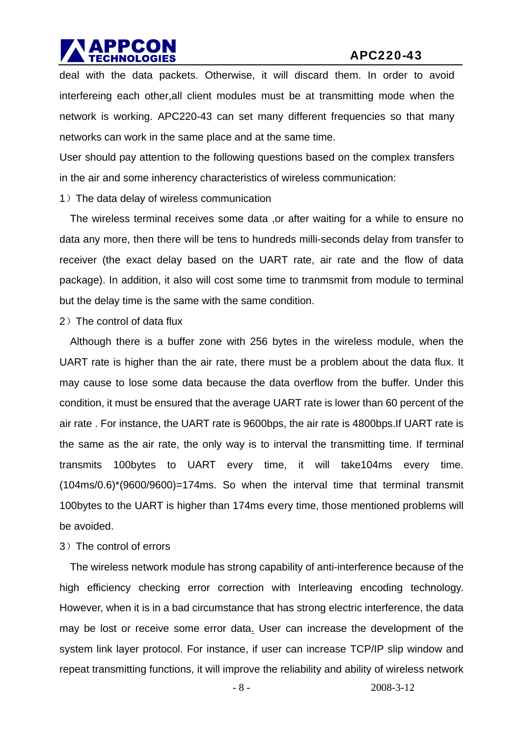## Ī

deal with the data packets. Otherwise, it will discard them. In order to avoid interfereing each other, all client modules must be at transmitting mode when the network is working. APC220-43 can set many different frequencies so that many networks can work in the same place and at the same time.

User should pay attention to the following questions based on the complex transfers in the air and some inherency characteristics of wireless communication:

1)The data delay of wireless communication

The wireless terminal receives some data ,or after waiting for a while to ensure no data any more, then there will be tens to hundreds milli-seconds delay from transfer to receiver (the exact delay based on the UART rate, air rate and the flow of data package). In addition, it also will cost some time to tranmsmit from module to terminal but the delay time is the same with the same condition.

2)The control of data flux

Although there is a buffer zone with 256 bytes in the wireless module, when the UART rate is higher than the air rate, there must be a problem about the data flux. It may cause to lose some data because the data overflow from the buffer. Under this condition, it must be ensured that the average UART rate is lower than 60 percent of the air rate . For instance, the UART rate is 9600bps, the air rate is 4800bps.If UART rate is the same as the air rate, the only way is to interval the transmitting time. If terminal transmits 100bytes to UART every time, it will take104ms every time.  $(104\text{ms}/0.6)^*(9600/9600) = 174\text{ms}$ . So when the interval time that terminal transmit 100bytes to the UART is higher than 174ms every time, those mentioned problems will be avoided.

#### 3)The control of errors

The wireless network module has strong capability of anti-interference because of the high efficiency checking error correction with Interleaving encoding technology. However, when it is in a bad circumstance that has strong electric interference, the data may be lost or receive some error data. User can increase the development of the system link layer protocol. For instance, if user can increase TCP/IP slip window and repeat transmitting functions, it will improve the reliability and ability of wireless network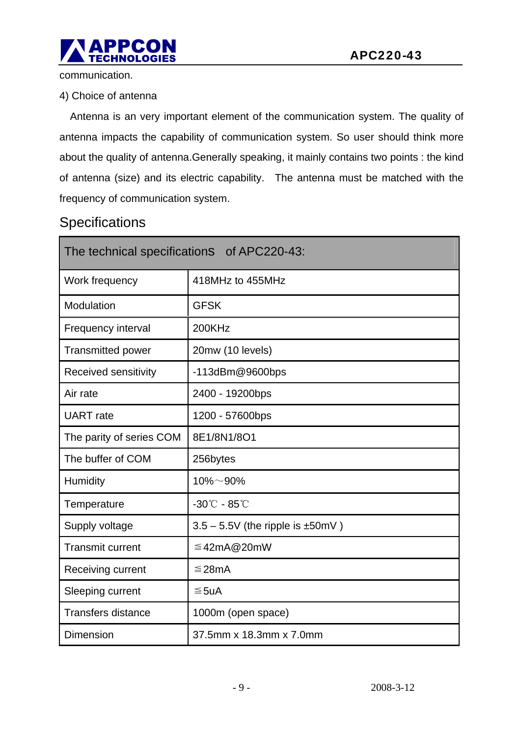

communication.

4) Choice of antenna

Antenna is an very important element of the communication system. The quality of antenna impacts the capability of communication system. So user should think more about the quality of antenna.Generally speaking, it mainly contains two points : the kind of antenna (size) and its electric capability. The antenna must be matched with the frequency of communication system.

#### **Specifications**

| The technical specifications of APC220-43: |                                          |  |  |  |
|--------------------------------------------|------------------------------------------|--|--|--|
| Work frequency                             | 418MHz to 455MHz                         |  |  |  |
| Modulation                                 | <b>GFSK</b>                              |  |  |  |
| Frequency interval                         | 200KHz                                   |  |  |  |
| <b>Transmitted power</b>                   | 20mw (10 levels)                         |  |  |  |
| Received sensitivity                       | $-113$ dBm $@9600$ bps                   |  |  |  |
| Air rate                                   | 2400 - 19200bps                          |  |  |  |
| <b>UART</b> rate                           | 1200 - 57600bps                          |  |  |  |
| The parity of series COM                   | 8E1/8N1/8O1                              |  |  |  |
| The buffer of COM                          | 256bytes                                 |  |  |  |
| Humidity                                   | $10\% - 90\%$                            |  |  |  |
| Temperature                                | $-30^{\circ}$ C - 85 $^{\circ}$ C        |  |  |  |
| Supply voltage                             | $3.5 - 5.5V$ (the ripple is $\pm 50$ mV) |  |  |  |
| <b>Transmit current</b>                    | ≦42mA@20mW                               |  |  |  |
| Receiving current                          | ≤28mA                                    |  |  |  |
| Sleeping current                           | ≤5uA                                     |  |  |  |
| <b>Transfers distance</b>                  | 1000m (open space)                       |  |  |  |
| <b>Dimension</b>                           | 37.5mm x 18.3mm x 7.0mm                  |  |  |  |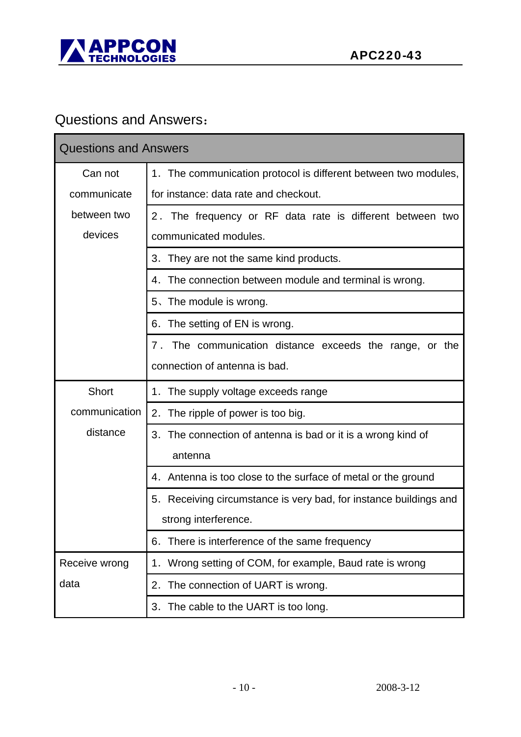

### Questions and Answers:

| <b>Questions and Answers</b> |                                                                      |  |  |  |
|------------------------------|----------------------------------------------------------------------|--|--|--|
| Can not                      | 1. The communication protocol is different between two modules,      |  |  |  |
| communicate                  | for instance: data rate and checkout.                                |  |  |  |
| between two                  | 2. The frequency or RF data rate is different between two            |  |  |  |
| devices                      | communicated modules.                                                |  |  |  |
|                              | 3. They are not the same kind products.                              |  |  |  |
|                              | The connection between module and terminal is wrong.<br>4.           |  |  |  |
|                              | 5. The module is wrong.                                              |  |  |  |
|                              | The setting of EN is wrong.<br>6.                                    |  |  |  |
|                              | The communication distance exceeds the range, or the<br>$7$ .        |  |  |  |
|                              | connection of antenna is bad.                                        |  |  |  |
| Short                        | The supply voltage exceeds range<br>1.                               |  |  |  |
| communication                | The ripple of power is too big.<br>2.                                |  |  |  |
| distance                     | 3.<br>The connection of antenna is bad or it is a wrong kind of      |  |  |  |
|                              | antenna                                                              |  |  |  |
|                              | Antenna is too close to the surface of metal or the ground<br>4.     |  |  |  |
|                              | Receiving circumstance is very bad, for instance buildings and<br>5. |  |  |  |
|                              | strong interference.                                                 |  |  |  |
|                              | There is interference of the same frequency<br>6.                    |  |  |  |
| Receive wrong                | Wrong setting of COM, for example, Baud rate is wrong<br>1.          |  |  |  |
| data                         | The connection of UART is wrong.<br>2.                               |  |  |  |
|                              | The cable to the UART is too long.<br>3.                             |  |  |  |